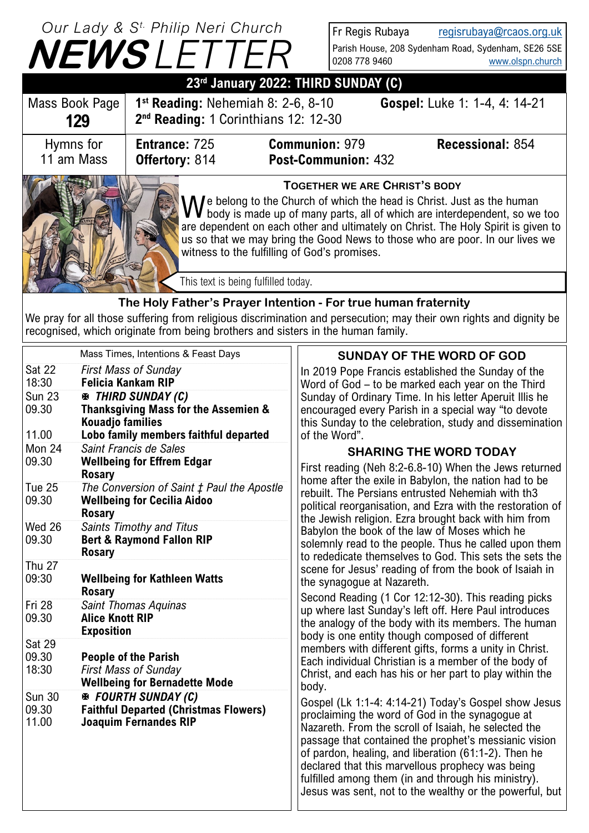## **NEWS** *LETTER Our Lady & S t. Philip Neri Church*

Fr Regis Rubaya [regisrubaya@rcaos.org.uk](mailto:regisrubaya@rcaos.org.uk) Parish House, 208 Sydenham Road, Sydenham, SE26 5SE 0208 778 9460 [www.olspn.church](http://www.olspn.church)

| 23rd January 2022: THIRD SUNDAY (C)                            |                                                                                                                                                                                                                                                                                                                                                                                                                     |                                              |                               |  |  |  |
|----------------------------------------------------------------|---------------------------------------------------------------------------------------------------------------------------------------------------------------------------------------------------------------------------------------------------------------------------------------------------------------------------------------------------------------------------------------------------------------------|----------------------------------------------|-------------------------------|--|--|--|
| Mass Book Page<br>129                                          | $1st$ Reading: Nehemiah 8: 2-6, 8-10<br>2 <sup>nd</sup> Reading: 1 Corinthians 12: 12-30                                                                                                                                                                                                                                                                                                                            |                                              | Gospel: Luke 1: 1-4, 4: 14-21 |  |  |  |
| Hymns for<br>11 am Mass                                        | <b>Entrance: 725</b><br>Offertory: 814                                                                                                                                                                                                                                                                                                                                                                              | <b>Communion: 979</b><br>Post-Communion: 432 | <b>Recessional: 854</b>       |  |  |  |
|                                                                | <b>TOGETHER WE ARE CHRIST'S BODY</b><br>We belong to the Church of which the head is Christ. Just as the human<br>We body is made up of many parts, all of which are interdependent, so we too<br>are dependent on each other and ultimately on Christ. The Holy Spirit is given to<br>us so that we may bring the Good News to those who are poor. In our lives we<br>witness to the fulfilling of God's promises. |                                              |                               |  |  |  |
|                                                                | This text is being fulfilled today.                                                                                                                                                                                                                                                                                                                                                                                 |                                              |                               |  |  |  |
| The Holy Father's Prayer Intention - For true human fraternity |                                                                                                                                                                                                                                                                                                                                                                                                                     |                                              |                               |  |  |  |

We pray for all those suffering from religious discrimination and persecution; may their own rights and dignity be recognised, which originate from being brothers and sisters in the human family.

|                                 | Mass Times, Intentions & Feast Days                                                                        | <b>SUNDAY OF THE WORD OF GOD</b>                                                                                                                                                                                                                                                                                                                                                                                                                       |
|---------------------------------|------------------------------------------------------------------------------------------------------------|--------------------------------------------------------------------------------------------------------------------------------------------------------------------------------------------------------------------------------------------------------------------------------------------------------------------------------------------------------------------------------------------------------------------------------------------------------|
| <b>Sat 22</b><br>18:30          | <b>First Mass of Sunday</b><br><b>Felicia Kankam RIP</b>                                                   | In 2019 Pope Francis established the Sunday of the<br>Word of God - to be marked each year on the Third                                                                                                                                                                                                                                                                                                                                                |
| <b>Sun 23</b><br>09.30<br>11.00 | <b>EN THIRD SUNDAY (C)</b><br>Thanksgiving Mass for the Assemien &<br><b>Kouadjo families</b>              | Sunday of Ordinary Time. In his letter Aperuit Illis he<br>encouraged every Parish in a special way "to devote<br>this Sunday to the celebration, study and dissemination<br>of the Word".                                                                                                                                                                                                                                                             |
| Mon 24                          | Lobo family members faithful departed<br>Saint Francis de Sales                                            | <b>SHARING THE WORD TODAY</b>                                                                                                                                                                                                                                                                                                                                                                                                                          |
| 09.30                           | <b>Wellbeing for Effrem Edgar</b><br><b>Rosary</b>                                                         | First reading (Neh 8:2-6.8-10) When the Jews returned<br>home after the exile in Babylon, the nation had to be                                                                                                                                                                                                                                                                                                                                         |
| Tue 25<br>09.30                 | The Conversion of Saint ‡ Paul the Apostle<br><b>Wellbeing for Cecilia Aidoo</b><br><b>Rosary</b>          | rebuilt. The Persians entrusted Nehemiah with th3<br>political reorganisation, and Ezra with the restoration of<br>the Jewish religion. Ezra brought back with him from                                                                                                                                                                                                                                                                                |
| Wed 26<br>09.30                 | Saints Timothy and Titus<br><b>Bert &amp; Raymond Fallon RIP</b><br><b>Rosary</b>                          | Babylon the book of the law of Moses which he<br>solemnly read to the people. Thus he called upon them<br>to rededicate themselves to God. This sets the sets the<br>scene for Jesus' reading of from the book of Isaiah in<br>the synagogue at Nazareth.                                                                                                                                                                                              |
| <b>Thu 27</b><br>09:30          | <b>Wellbeing for Kathleen Watts</b><br><b>Rosary</b>                                                       |                                                                                                                                                                                                                                                                                                                                                                                                                                                        |
| Fri 28<br>09.30                 | Saint Thomas Aquinas<br><b>Alice Knott RIP</b><br><b>Exposition</b>                                        | Second Reading (1 Cor 12:12-30). This reading picks<br>up where last Sunday's left off. Here Paul introduces<br>the analogy of the body with its members. The human<br>body is one entity though composed of different                                                                                                                                                                                                                                 |
| <b>Sat 29</b><br>09.30<br>18:30 | <b>People of the Parish</b><br><b>First Mass of Sunday</b><br><b>Wellbeing for Bernadette Mode</b>         | members with different gifts, forms a unity in Christ.<br>Each individual Christian is a member of the body of<br>Christ, and each has his or her part to play within the<br>body.                                                                                                                                                                                                                                                                     |
| Sun 30<br>09.30<br>11.00        | <b>E</b> FOURTH SUNDAY (C)<br><b>Faithful Departed (Christmas Flowers)</b><br><b>Joaquim Fernandes RIP</b> | Gospel (Lk 1:1-4: 4:14-21) Today's Gospel show Jesus<br>proclaiming the word of God in the synagogue at<br>Nazareth. From the scroll of Isaiah, he selected the<br>passage that contained the prophet's messianic vision<br>of pardon, healing, and liberation (61:1-2). Then he<br>declared that this marvellous prophecy was being<br>fulfilled among them (in and through his ministry).<br>Jesus was sent, not to the wealthy or the powerful, but |